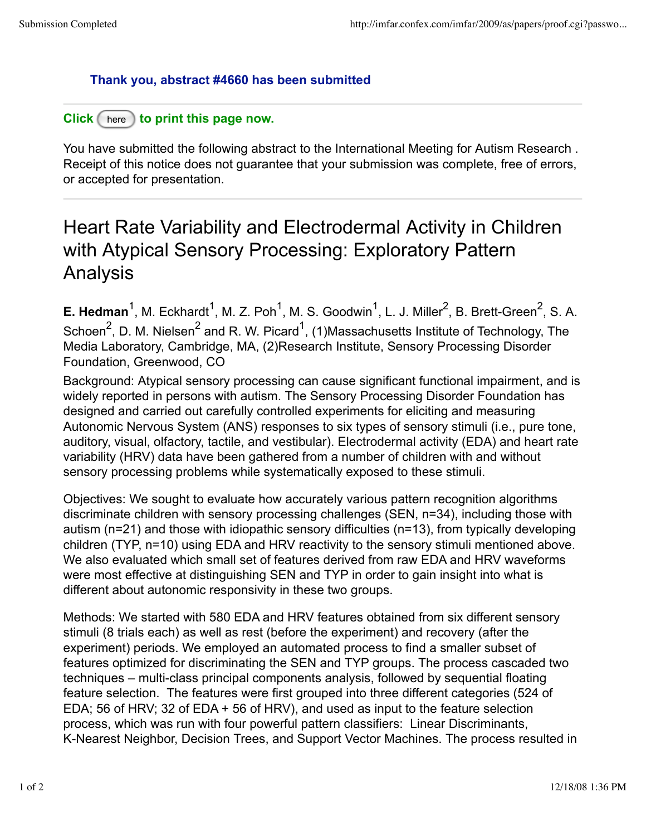## **Thank you, abstract #4660 has been submitted**

## **Click** here **to print this page now.**

You have submitted the following abstract to the International Meeting for Autism Research . Receipt of this notice does not guarantee that your submission was complete, free of errors, or accepted for presentation.

# Heart Rate Variability and Electrodermal Activity in Children with Atypical Sensory Processing: Exploratory Pattern Analysis

**E. Hedman**<sup>1</sup>, M. Eckhardt<sup>1</sup>, M. Z. Poh<sup>1</sup>, M. S. Goodwin<sup>1</sup>, L. J. Miller<sup>2</sup>, B. Brett-Green<sup>2</sup>, S. A. Schoen<sup>2</sup>, D. M. Nielsen<sup>2</sup> and R. W. Picard<sup>1</sup>, (1)Massachusetts Institute of Technology, The Media Laboratory, Cambridge, MA, (2)Research Institute, Sensory Processing Disorder Foundation, Greenwood, CO

Background: Atypical sensory processing can cause significant functional impairment, and is widely reported in persons with autism. The Sensory Processing Disorder Foundation has designed and carried out carefully controlled experiments for eliciting and measuring Autonomic Nervous System (ANS) responses to six types of sensory stimuli (i.e., pure tone, auditory, visual, olfactory, tactile, and vestibular). Electrodermal activity (EDA) and heart rate variability (HRV) data have been gathered from a number of children with and without sensory processing problems while systematically exposed to these stimuli.

Objectives: We sought to evaluate how accurately various pattern recognition algorithms discriminate children with sensory processing challenges (SEN, n=34), including those with autism (n=21) and those with idiopathic sensory difficulties (n=13), from typically developing children (TYP, n=10) using EDA and HRV reactivity to the sensory stimuli mentioned above. We also evaluated which small set of features derived from raw EDA and HRV waveforms were most effective at distinguishing SEN and TYP in order to gain insight into what is different about autonomic responsivity in these two groups.

Methods: We started with 580 EDA and HRV features obtained from six different sensory stimuli (8 trials each) as well as rest (before the experiment) and recovery (after the experiment) periods. We employed an automated process to find a smaller subset of features optimized for discriminating the SEN and TYP groups. The process cascaded two techniques – multi-class principal components analysis, followed by sequential floating feature selection. The features were first grouped into three different categories (524 of EDA; 56 of HRV; 32 of EDA + 56 of HRV), and used as input to the feature selection process, which was run with four powerful pattern classifiers: Linear Discriminants, K-Nearest Neighbor, Decision Trees, and Support Vector Machines. The process resulted in